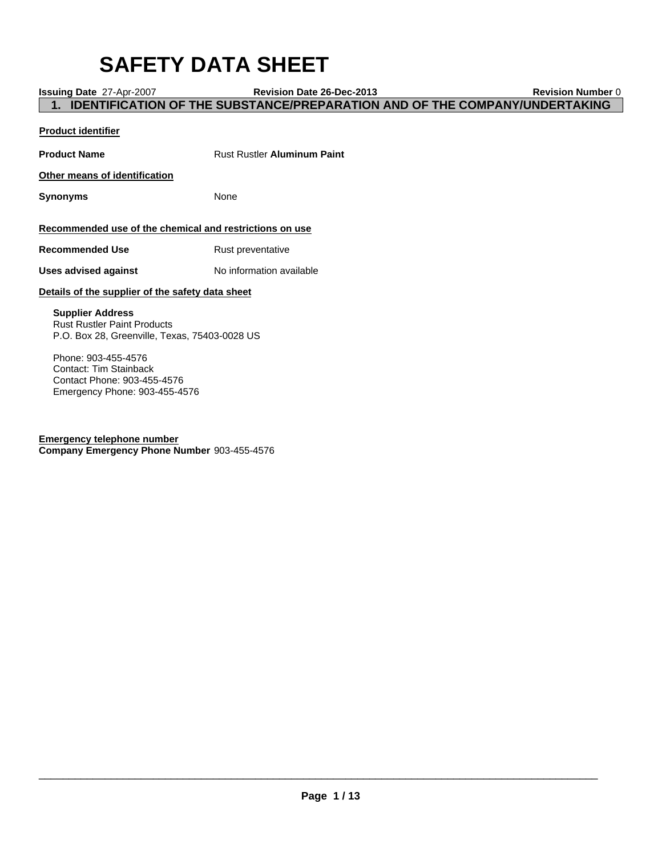# **SAFETY DATA SHEET**

**Issuing Date** 27-Apr-2007 **Revision Date 26-Dec-2013 Revision Number** 0 **1. IDENTIFICATION OF THE SUBSTANCE/PREPARATION AND OF THE COMPANY/UNDERTAKING**

### **Product identifier**

| <b>Product Name</b>                                                                                            | <b>Rust Rustler Aluminum Paint</b> |
|----------------------------------------------------------------------------------------------------------------|------------------------------------|
| Other means of identification                                                                                  |                                    |
| Synonyms                                                                                                       | None                               |
| Recommended use of the chemical and restrictions on use                                                        |                                    |
| Recommended Use                                                                                                | Rust preventative                  |
| <b>Uses advised against</b>                                                                                    | No information available           |
| Details of the supplier of the safety data sheet                                                               |                                    |
| <b>Supplier Address</b><br><b>Rust Rustler Paint Products</b><br>P.O. Box 28, Greenville, Texas, 75403-0028 US |                                    |
| Phone: 903-455-4576                                                                                            |                                    |

Contact: Tim Stainback Contact Phone: 903-455-4576 Emergency Phone: 903-455-4576

**Emergency telephone number Company Emergency Phone Number** 903-455-4576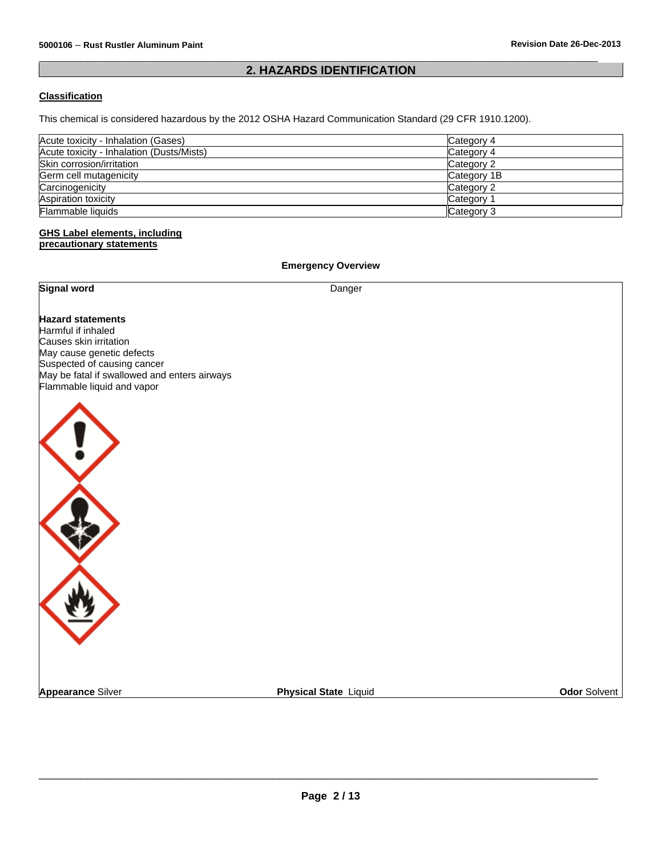#### $\overline{\phantom{a}}$  , and the set of the set of the set of the set of the set of the set of the set of the set of the set of the set of the set of the set of the set of the set of the set of the set of the set of the set of the s **2. HAZARDS IDENTIFICATION**

### **Classification**

This chemical is considered hazardous by the 2012 OSHA Hazard Communication Standard (29 CFR 1910.1200).

| Acute toxicity - Inhalation (Gases)       | Category 4  |
|-------------------------------------------|-------------|
| Acute toxicity - Inhalation (Dusts/Mists) | Category 4  |
| Skin corrosion/irritation                 | Category 2  |
| Germ cell mutagenicity                    | Category 1B |
| Carcinogenicity                           | Category 2  |
| Aspiration toxicity                       | Category 1  |
| Flammable liquids                         | Category 3  |

#### **GHS Label elements, including precautionary statements**

**Signal word** Danger

**Emergency Overview** 

**Hazard statements** Harmful if inhaled Causes skin irritation May cause genetic defects Suspected of causing cancer May be fatal if swallowed and enters airways Flammable liquid and vapor



**Appearance** Silver **Physical State** Liquid **Odor** Solvent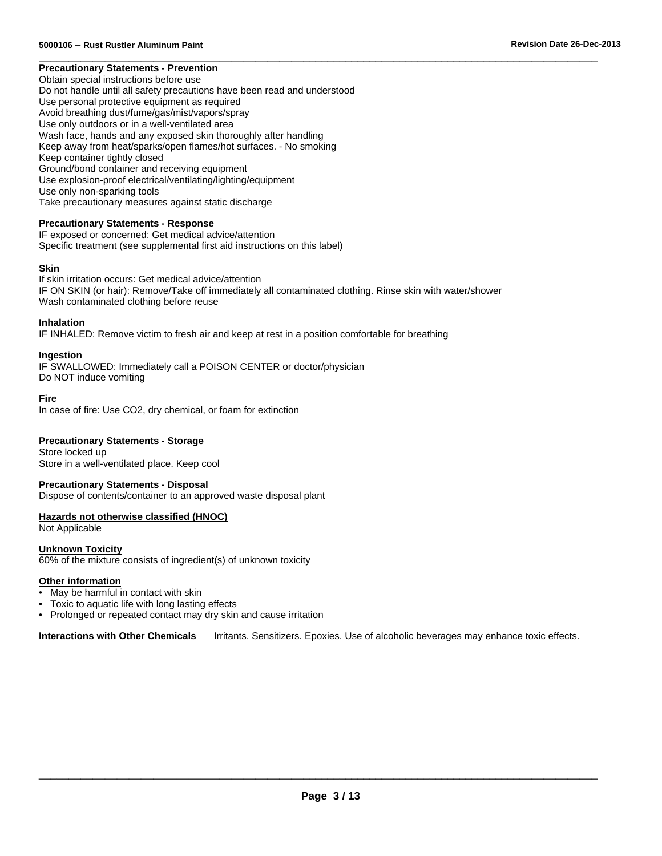#### $\overline{\phantom{a}}$  , and the set of the set of the set of the set of the set of the set of the set of the set of the set of the set of the set of the set of the set of the set of the set of the set of the set of the set of the s **Precautionary Statements - Prevention**

Obtain special instructions before use Do not handle until all safety precautions have been read and understood Use personal protective equipment as required Avoid breathing dust/fume/gas/mist/vapors/spray Use only outdoors or in a well-ventilated area Wash face, hands and any exposed skin thoroughly after handling Keep away from heat/sparks/open flames/hot surfaces. - No smoking Keep container tightly closed Ground/bond container and receiving equipment Use explosion-proof electrical/ventilating/lighting/equipment Use only non-sparking tools Take precautionary measures against static discharge

#### **Precautionary Statements - Response**

IF exposed or concerned: Get medical advice/attention Specific treatment (see supplemental first aid instructions on this label)

#### **Skin**

If skin irritation occurs: Get medical advice/attention IF ON SKIN (or hair): Remove/Take off immediately all contaminated clothing. Rinse skin with water/shower Wash contaminated clothing before reuse

#### **Inhalation**

IF INHALED: Remove victim to fresh air and keep at rest in a position comfortable for breathing

#### **Ingestion**

IF SWALLOWED: Immediately call a POISON CENTER or doctor/physician Do NOT induce vomiting

#### **Fire**

In case of fire: Use CO2, dry chemical, or foam for extinction

#### **Precautionary Statements - Storage**

Store locked up Store in a well-ventilated place. Keep cool

#### **Precautionary Statements - Disposal**

Dispose of contents/container to an approved waste disposal plant

### **Hazards not otherwise classified (HNOC)**

Not Applicable

#### **Unknown Toxicity**

60% of the mixture consists of ingredient(s) of unknown toxicity

#### **Other information**

- May be harmful in contact with skin
- Toxic to aquatic life with long lasting effects
- Prolonged or repeated contact may dry skin and cause irritation

**Interactions with Other Chemicals** Irritants. Sensitizers. Epoxies. Use of alcoholic beverages may enhance toxic effects.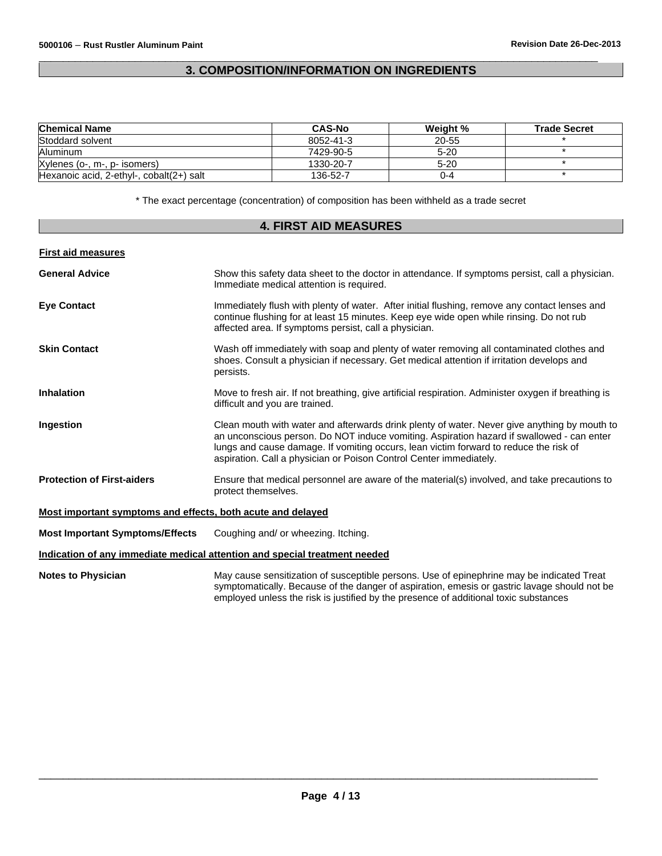#### $\overline{\phantom{a}}$  , and the set of the set of the set of the set of the set of the set of the set of the set of the set of the set of the set of the set of the set of the set of the set of the set of the set of the set of the s **3. COMPOSITION/INFORMATION ON INGREDIENTS**

| <b>Chemical Name</b>                     | <b>CAS-No</b> | Weight % | <b>Trade Secret</b> |
|------------------------------------------|---------------|----------|---------------------|
| Stoddard solvent                         | 8052-41-3     | 20-55    |                     |
| Aluminum                                 | 7429-90-5     | $5 - 20$ |                     |
| Xylenes (o-, m-, p- isomers)             | 1330-20-7     | $5-20$   |                     |
| Hexanoic acid, 2-ethyl-, cobalt(2+) salt | 136-52-7      | 0-4      |                     |

\* The exact percentage (concentration) of composition has been withheld as a trade secret

### **4. FIRST AID MEASURES**

#### **First aid measures**

| <b>General Advice</b>                                       | Show this safety data sheet to the doctor in attendance. If symptoms persist, call a physician.<br>Immediate medical attention is required.                                                                                                                                                                                                              |
|-------------------------------------------------------------|----------------------------------------------------------------------------------------------------------------------------------------------------------------------------------------------------------------------------------------------------------------------------------------------------------------------------------------------------------|
| <b>Eve Contact</b>                                          | Immediately flush with plenty of water. After initial flushing, remove any contact lenses and<br>continue flushing for at least 15 minutes. Keep eye wide open while rinsing. Do not rub<br>affected area. If symptoms persist, call a physician.                                                                                                        |
| <b>Skin Contact</b>                                         | Wash off immediately with soap and plenty of water removing all contaminated clothes and<br>shoes. Consult a physician if necessary. Get medical attention if irritation develops and<br>persists.                                                                                                                                                       |
| <b>Inhalation</b>                                           | Move to fresh air. If not breathing, give artificial respiration. Administer oxygen if breathing is<br>difficult and you are trained.                                                                                                                                                                                                                    |
| Ingestion                                                   | Clean mouth with water and afterwards drink plenty of water. Never give anything by mouth to<br>an unconscious person. Do NOT induce vomiting. Aspiration hazard if swallowed - can enter<br>lungs and cause damage. If vomiting occurs, lean victim forward to reduce the risk of<br>aspiration. Call a physician or Poison Control Center immediately. |
| <b>Protection of First-aiders</b>                           | Ensure that medical personnel are aware of the material(s) involved, and take precautions to<br>protect themselves.                                                                                                                                                                                                                                      |
| Most important symptoms and effects, both acute and delayed |                                                                                                                                                                                                                                                                                                                                                          |
| <b>Most Important Symptoms/Effects</b>                      | Coughing and/ or wheezing. Itching.                                                                                                                                                                                                                                                                                                                      |
|                                                             | Indication of any immediate medical attention and special treatment needed                                                                                                                                                                                                                                                                               |
| <b>Notes to Physician</b>                                   | May cause sensitization of susceptible persons. Use of epinephrine may be indicated Treat<br>symptomatically. Because of the danger of aspiration, emesis or gastric lavage should not be<br>employed unless the risk is justified by the presence of additional toxic substances                                                                        |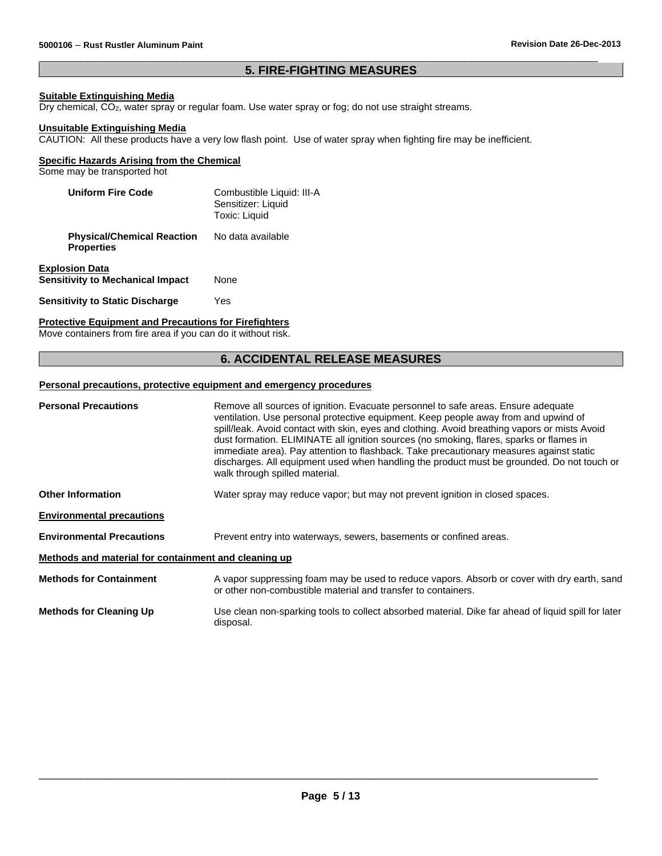#### $\overline{\phantom{a}}$  , and the set of the set of the set of the set of the set of the set of the set of the set of the set of the set of the set of the set of the set of the set of the set of the set of the set of the set of the s **5. FIRE-FIGHTING MEASURES**

#### **Suitable Extinguishing Media**

Dry chemical, CO2, water spray or regular foam. Use water spray or fog; do not use straight streams.

#### **Unsuitable Extinguishing Media**

CAUTION: All these products have a very low flash point. Use of water spray when fighting fire may be inefficient.

#### **Specific Hazards Arising from the Chemical**

Some may be transported hot

| <b>Uniform Fire Code</b>                                         | Combustible Liquid: III-A<br>Sensitizer: Liquid<br><b>Toxic: Liquid</b> |
|------------------------------------------------------------------|-------------------------------------------------------------------------|
| <b>Physical/Chemical Reaction</b><br><b>Properties</b>           | No data available                                                       |
| <b>Explosion Data</b><br><b>Sensitivity to Mechanical Impact</b> | None                                                                    |
| <b>Sensitivity to Static Discharge</b>                           | Yes                                                                     |

#### **Protective Equipment and Precautions for Firefighters**

Move containers from fire area if you can do it without risk.

#### **6. ACCIDENTAL RELEASE MEASURES**

#### **Personal precautions, protective equipment and emergency procedures**

| <b>Personal Precautions</b>                          | Remove all sources of ignition. Evacuate personnel to safe areas. Ensure adequate<br>ventilation. Use personal protective equipment. Keep people away from and upwind of<br>spill/leak. Avoid contact with skin, eyes and clothing. Avoid breathing vapors or mists Avoid<br>dust formation. ELIMINATE all ignition sources (no smoking, flares, sparks or flames in<br>immediate area). Pay attention to flashback. Take precautionary measures against static<br>discharges. All equipment used when handling the product must be grounded. Do not touch or<br>walk through spilled material. |
|------------------------------------------------------|-------------------------------------------------------------------------------------------------------------------------------------------------------------------------------------------------------------------------------------------------------------------------------------------------------------------------------------------------------------------------------------------------------------------------------------------------------------------------------------------------------------------------------------------------------------------------------------------------|
| <b>Other Information</b>                             | Water spray may reduce vapor; but may not prevent ignition in closed spaces.                                                                                                                                                                                                                                                                                                                                                                                                                                                                                                                    |
| <b>Environmental precautions</b>                     |                                                                                                                                                                                                                                                                                                                                                                                                                                                                                                                                                                                                 |
| <b>Environmental Precautions</b>                     | Prevent entry into waterways, sewers, basements or confined areas.                                                                                                                                                                                                                                                                                                                                                                                                                                                                                                                              |
| Methods and material for containment and cleaning up |                                                                                                                                                                                                                                                                                                                                                                                                                                                                                                                                                                                                 |
| <b>Methods for Containment</b>                       | A vapor suppressing foam may be used to reduce vapors. Absorb or cover with dry earth, sand<br>or other non-combustible material and transfer to containers.                                                                                                                                                                                                                                                                                                                                                                                                                                    |
| <b>Methods for Cleaning Up</b>                       | Use clean non-sparking tools to collect absorbed material. Dike far ahead of liquid spill for later<br>disposal.                                                                                                                                                                                                                                                                                                                                                                                                                                                                                |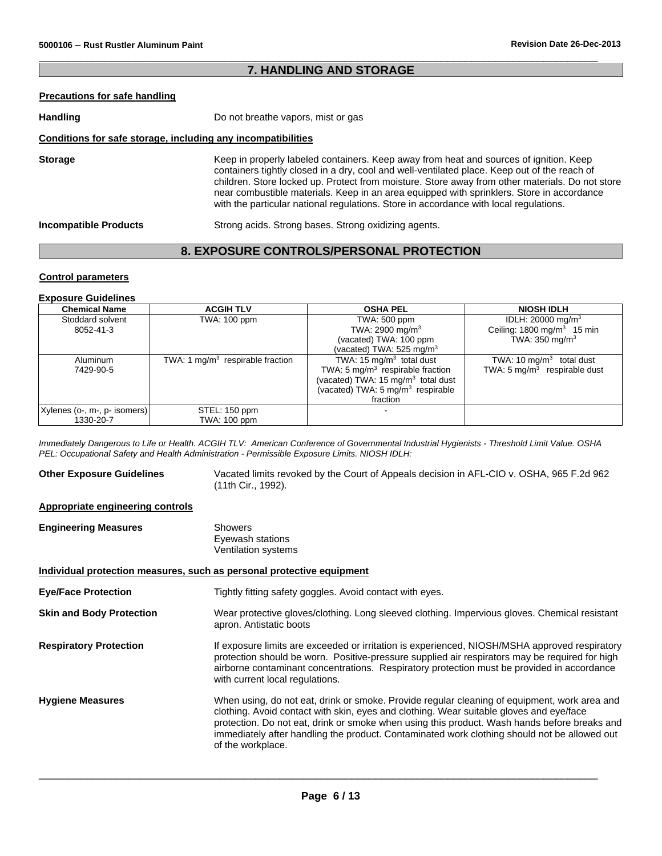#### $\overline{\phantom{a}}$  , and the set of the set of the set of the set of the set of the set of the set of the set of the set of the set of the set of the set of the set of the set of the set of the set of the set of the set of the s **7. HANDLING AND STORAGE**

#### **Precautions for safe handling**

| Handling                                                     | Do not breathe vapors, mist or gas                                                                                                                                                                                                                                                                                                                                                                                                                                              |  |
|--------------------------------------------------------------|---------------------------------------------------------------------------------------------------------------------------------------------------------------------------------------------------------------------------------------------------------------------------------------------------------------------------------------------------------------------------------------------------------------------------------------------------------------------------------|--|
| Conditions for safe storage, including any incompatibilities |                                                                                                                                                                                                                                                                                                                                                                                                                                                                                 |  |
| <b>Storage</b>                                               | Keep in properly labeled containers. Keep away from heat and sources of ignition. Keep<br>containers tightly closed in a dry, cool and well-ventilated place. Keep out of the reach of<br>children. Store locked up. Protect from moisture. Store away from other materials. Do not store<br>near combustible materials. Keep in an area equipped with sprinklers. Store in accordance<br>with the particular national regulations. Store in accordance with local regulations. |  |
| <b>Incompatible Products</b>                                 | Strong acids. Strong bases. Strong oxidizing agents.                                                                                                                                                                                                                                                                                                                                                                                                                            |  |

### **8. EXPOSURE CONTROLS/PERSONAL PROTECTION**

### **Control parameters**

#### **Exposure Guidelines**

| <b>Chemical Name</b>         | <b>ACGIH TLV</b>                   | <b>OSHA PEL</b>                                | <b>NIOSH IDLH</b>                       |
|------------------------------|------------------------------------|------------------------------------------------|-----------------------------------------|
| Stoddard solvent             | TWA: 100 ppm                       | TWA: 500 ppm                                   | IDLH: 20000 mg/m <sup>3</sup>           |
| 8052-41-3                    |                                    | TWA: 2900 mg/m <sup>3</sup>                    | Ceiling: $1800 \text{ mg/m}^3$ 15 min   |
|                              |                                    | (vacated) TWA: 100 ppm                         | TWA: $350 \text{ mg/m}^3$               |
|                              |                                    | (vacated) TWA: $525 \text{ mg/m}^3$            |                                         |
| Aluminum                     | TWA: 1 $mq/m3$ respirable fraction | TWA: 15 $mq/m3$ total dust                     | TWA: 10 $mq/m3$ total dust              |
| 7429-90-5                    |                                    | TWA: 5 $mg/m3$ respirable fraction             | TWA: $5 \text{ mg/m}^3$ respirable dust |
|                              |                                    | (vacated) TWA: 15 mg/m <sup>3</sup> total dust |                                         |
|                              |                                    | (vacated) TWA: 5 mg/m <sup>3</sup> respirable  |                                         |
|                              |                                    | fraction                                       |                                         |
| Xylenes (o-, m-, p- isomers) | STEL: 150 ppm                      |                                                |                                         |
| 1330-20-7                    | TWA: 100 ppm                       |                                                |                                         |

*Immediately Dangerous to Life or Health. ACGIH TLV: American Conference of Governmental Industrial Hygienists - Threshold Limit Value. OSHA PEL: Occupational Safety and Health Administration - Permissible Exposure Limits. NIOSH IDLH:*

**Other Exposure Guidelines** Vacated limits revoked by the Court of Appeals decision in AFL-CIO v. OSHA, 965 F.2d 962 (11th Cir., 1992).

#### **Appropriate engineering controls**

| <b>Engineering Measures</b> | Showers             |  |
|-----------------------------|---------------------|--|
|                             | Eyewash stations    |  |
|                             | Ventilation systems |  |

#### **Individual protection measures, such as personal protective equipment**

| <b>Eye/Face Protection</b>      | Tightly fitting safety goggles. Avoid contact with eyes.                                                                                                                                                                                                                                                                                                                                                     |
|---------------------------------|--------------------------------------------------------------------------------------------------------------------------------------------------------------------------------------------------------------------------------------------------------------------------------------------------------------------------------------------------------------------------------------------------------------|
| <b>Skin and Body Protection</b> | Wear protective gloves/clothing. Long sleeved clothing. Impervious gloves. Chemical resistant<br>apron. Antistatic boots                                                                                                                                                                                                                                                                                     |
| <b>Respiratory Protection</b>   | If exposure limits are exceeded or irritation is experienced, NIOSH/MSHA approved respiratory<br>protection should be worn. Positive-pressure supplied air respirators may be required for high<br>airborne contaminant concentrations. Respiratory protection must be provided in accordance<br>with current local regulations.                                                                             |
| <b>Hygiene Measures</b>         | When using, do not eat, drink or smoke. Provide regular cleaning of equipment, work area and<br>clothing. Avoid contact with skin, eyes and clothing. Wear suitable gloves and eye/face<br>protection. Do not eat, drink or smoke when using this product. Wash hands before breaks and<br>immediately after handling the product. Contaminated work clothing should not be allowed out<br>of the workplace. |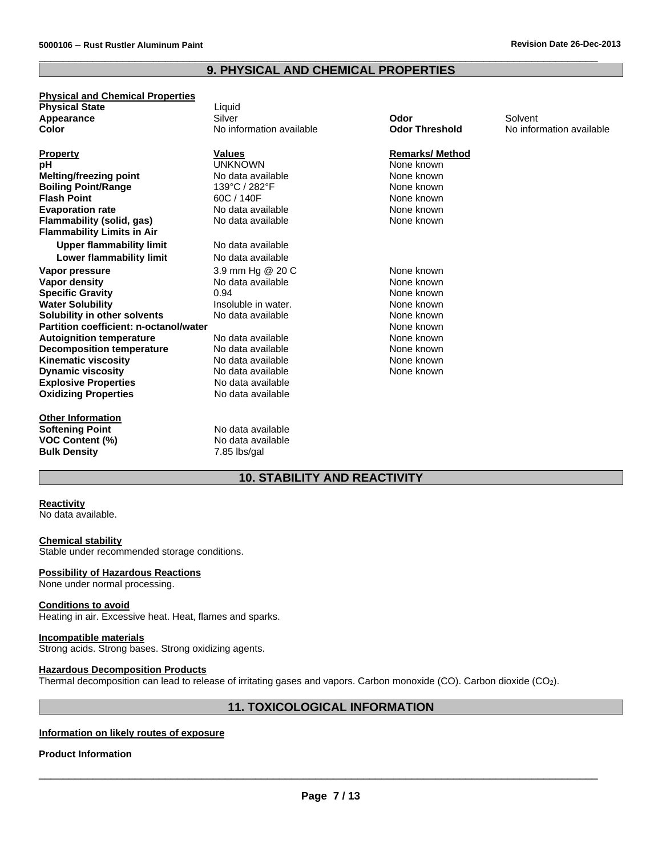#### **9. PHYSICAL AND CHEMICAL PROPERTIES**

 $\overline{\phantom{a}}$  , and the set of the set of the set of the set of the set of the set of the set of the set of the set of the set of the set of the set of the set of the set of the set of the set of the set of the set of the s

**Physical and Chemical Properties Physical State Liquid Appearance Container Silver Appearance** Silver Silver Solvent Solvent Solvent Solvent Solvent Solvent Solvent Solvent Solvent Solvent Solvent Solvent Solvent Solvent Solvent Solvent Solvent Solvent Solvent Solvent Solvent Solvent Solvent Solvent Sol

**Property Remarks/ Method Values Values Remarks/ Method Property Remarks/ Method Property Remarks/ Method Property Remarks/ Method Property Remarks/ Method Property Remarks/ Method Property pH** UNKNOWN UNKHOWN None known<br>
Melting/freezing point **None known** No data available **None known Melting/freezing point None Known**<br> **Boiling Point/Range None known**<br> **Boiling Point/Range None known Boiling Point/Range** 139°C / 282°F 282°F None known<br> **Flash Point None known**<br> **Elash Point None known Flash Point** 60C / 140F None known **Evaporation rate None known**<br> **Elammability (solid. gas)** None None Rown None Known None known **Flammability (solid, gas) Flammability Limits in Air Upper flammability limit** No data available **Lower flammability limit** No data available **Vapor pressure** The Superson Common S.9 mm Hg @ 20 C None known<br> **Vapor density** The Superson Contract About About About None known **Specific Gravity Consumed Accord 1.5 August 2.5 August 2.5 August 2.5 August 2.6 August 2.6 August 2.6 August 2.6 August 2.6 August 2.6 August 2.6 August 2.7 August 2.7 August 2.7 August 2.7 August 2.7 August 2.7 August Water Solubility** Insoluble in water. None known **Solubility in other solvents** No data available None known<br> **Partition coefficient: n-octanol/water** None known **Partition coefficient: n-octanol/water**<br> **Autoignition temperature** None No data available **None known**<br>
None known **Autoignition temperature None Kitabook None known**<br> **Decomposition temperature** Mo data available **None Kitabook None known Decomposition temperature** No data available None Known None known<br> **Kinematic viscosity** None Known No data available None Known None known **Kinematic viscosity** No data available<br> **Dividentic viscosity** No data available **Dynamic viscosity None Known**<br> **Explosive Properties None Known**<br>
None known No data available **Explosive Properties**<br> **Oxidizing Properties**<br> **Oxidizing Properties**<br> **No data available Oxidizing Properties** 

**Other Information Softening Point**<br> **VOC Content (%)**<br>
No data available **VOC Content (%)**<br> **Bulk Density No data available 1.85** lbs/gal **Bulk Density** 

No data available 0.94

**No information available** 

### **10. STABILITY AND REACTIVITY**

#### **Reactivity**

No data available.

#### **Chemical stability**

Stable under recommended storage conditions.

#### **Possibility of Hazardous Reactions**

None under normal processing.

#### **Conditions to avoid**

Heating in air. Excessive heat. Heat, flames and sparks.

#### **Incompatible materials**

Strong acids. Strong bases. Strong oxidizing agents.

#### **Hazardous Decomposition Products**

Thermal decomposition can lead to release of irritating gases and vapors. Carbon monoxide (CO). Carbon dioxide (CO2).

### **11. TOXICOLOGICAL INFORMATION**

#### **Information on likely routes of exposure**

#### **Product Information**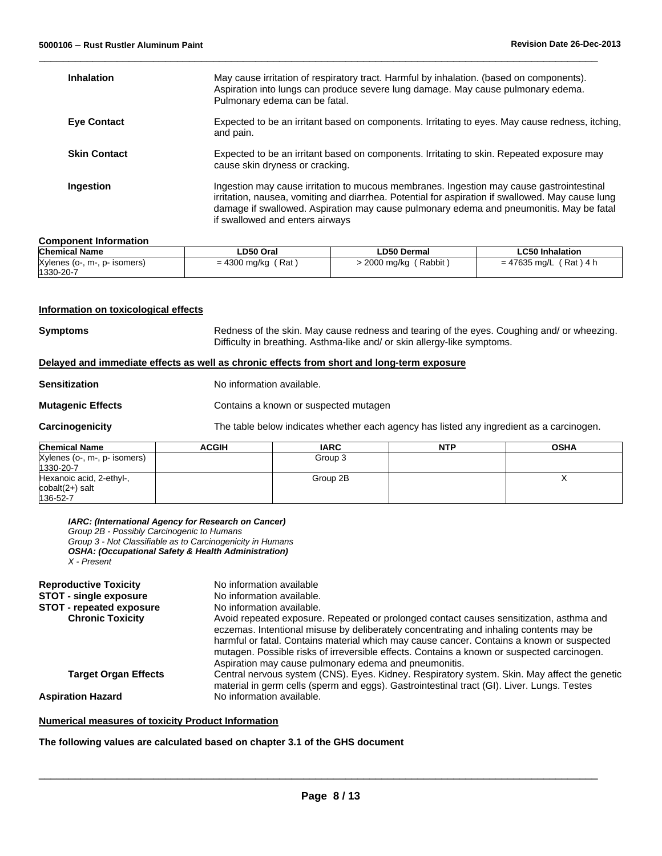| <b>Inhalation</b>   | May cause irritation of respiratory tract. Harmful by inhalation. (based on components).<br>Aspiration into lungs can produce severe lung damage. May cause pulmonary edema.<br>Pulmonary edema can be fatal.                                                                                                              |
|---------------------|----------------------------------------------------------------------------------------------------------------------------------------------------------------------------------------------------------------------------------------------------------------------------------------------------------------------------|
| <b>Eye Contact</b>  | Expected to be an irritant based on components. Irritating to eyes. May cause redness, itching,<br>and pain.                                                                                                                                                                                                               |
| <b>Skin Contact</b> | Expected to be an irritant based on components. Irritating to skin. Repeated exposure may<br>cause skin dryness or cracking.                                                                                                                                                                                               |
| Ingestion           | Ingestion may cause irritation to mucous membranes. Ingestion may cause gastrointestinal<br>irritation, nausea, vomiting and diarrhea. Potential for aspiration if swallowed. May cause lung<br>damage if swallowed. Aspiration may cause pulmonary edema and pneumonitis. May be fatal<br>if swallowed and enters airways |

 $\overline{\phantom{a}}$  , and the set of the set of the set of the set of the set of the set of the set of the set of the set of the set of the set of the set of the set of the set of the set of the set of the set of the set of the s

#### **Component Information**

| <b>Chemical Name</b>         | ∟D50 Oral    | <b>LD50 Dermal</b> | LC50 Inhalation |
|------------------------------|--------------|--------------------|-----------------|
| Xylenes (o-, m-, p- isomers) | (Rat         | ( Rabbit           | = 47635 mg/L    |
| 1330-20-7                    | = 4300 mg/kg | $>$ 2000 mg/kg $'$ | $(Rat)$ 4 h     |

#### **Information on toxicological effects**

**Symptoms** Redness of the skin. May cause redness and tearing of the eyes. Coughing and/ or wheezing. Difficulty in breathing. Asthma-like and/ or skin allergy-like symptoms.

#### **Delayed and immediate effects as well as chronic effects from short and long-term exposure**

**Sensitization** No information available.

**Mutagenic Effects Contains a known or suspected mutagen** 

**Carcinogenicity** The table below indicates whether each agency has listed any ingredient as a carcinogen.

| <b>Chemical Name</b>         | ACGIH | <b>IARC</b> | <b>NTP</b> | OSHA |
|------------------------------|-------|-------------|------------|------|
| Xylenes (o-, m-, p- isomers) |       | Group 3     |            |      |
| 1330-20-7                    |       |             |            |      |
| Hexanoic acid, 2-ethyl-,     |       | Group 2B    |            |      |
| $\text{cobalt}(2+)$ salt     |       |             |            |      |
| 136-52-7                     |       |             |            |      |

| IARC: (International Agency for Research on Cancer) |  |  |  |
|-----------------------------------------------------|--|--|--|
|-----------------------------------------------------|--|--|--|

*Group 2B - Possibly Carcinogenic to Humans Group 3 - Not Classifiable as to Carcinogenicity in Humans OSHA: (Occupational Safety & Health Administration) X - Present*

| <b>Reproductive Toxicity</b>    | No information available                                                                                                                                                                                                                                                                                                                                                                                                              |
|---------------------------------|---------------------------------------------------------------------------------------------------------------------------------------------------------------------------------------------------------------------------------------------------------------------------------------------------------------------------------------------------------------------------------------------------------------------------------------|
| <b>STOT - single exposure</b>   | No information available.                                                                                                                                                                                                                                                                                                                                                                                                             |
| <b>STOT - repeated exposure</b> | No information available.                                                                                                                                                                                                                                                                                                                                                                                                             |
| <b>Chronic Toxicity</b>         | Avoid repeated exposure. Repeated or prolonged contact causes sensitization, asthma and<br>eczemas. Intentional misuse by deliberately concentrating and inhaling contents may be<br>harmful or fatal. Contains material which may cause cancer. Contains a known or suspected<br>mutagen. Possible risks of irreversible effects. Contains a known or suspected carcinogen.<br>Aspiration may cause pulmonary edema and pneumonitis. |
| <b>Target Organ Effects</b>     | Central nervous system (CNS). Eyes. Kidney. Respiratory system. Skin. May affect the genetic<br>material in germ cells (sperm and eggs). Gastrointestinal tract (GI). Liver. Lungs. Testes                                                                                                                                                                                                                                            |
| <b>Aspiration Hazard</b>        | No information available.                                                                                                                                                                                                                                                                                                                                                                                                             |

#### **Numerical measures of toxicity Product Information**

**The following values are calculated based on chapter 3.1 of the GHS document**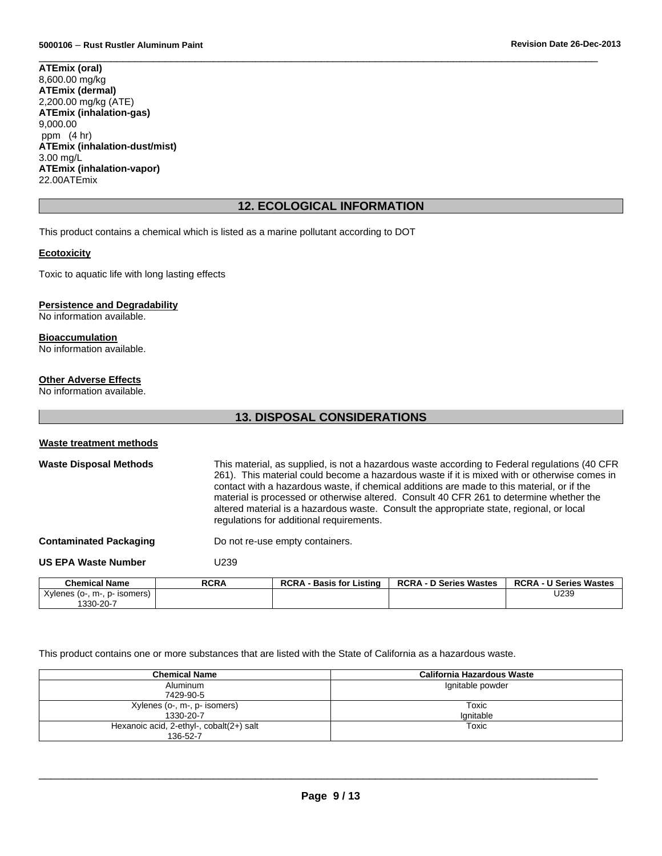$\overline{\phantom{a}}$  , and the set of the set of the set of the set of the set of the set of the set of the set of the set of the set of the set of the set of the set of the set of the set of the set of the set of the set of the s **ATEmix (oral)** 8,600.00 mg/kg **ATEmix (dermal)** 2,200.00 mg/kg (ATE) **ATEmix (inhalation-gas)** 9,000.00 ppm (4 hr) **ATEmix (inhalation-dust/mist)** 3.00 mg/L **ATEmix (inhalation-vapor)** 22.00ATEmix

### **12. ECOLOGICAL INFORMATION**

This product contains a chemical which is listed as a marine pollutant according to DOT

#### **Ecotoxicity**

Toxic to aquatic life with long lasting effects

#### **Persistence and Degradability**

No information available.

#### **Bioaccumulation**

No information available.

#### **Other Adverse Effects**

No information available.

#### **13. DISPOSAL CONSIDERATIONS**

#### **Waste treatment methods**

Waste Disposal Methods This material, as supplied, is not a hazardous waste according to Federal regulations (40 CFR 261). This material could become a hazardous waste if it is mixed with or otherwise comes in contact with a hazardous waste, if chemical additions are made to this material, or if the material is processed or otherwise altered. Consult 40 CFR 261 to determine whether the altered material is a hazardous waste. Consult the appropriate state, regional, or local regulations for additional requirements.

**Contaminated Packaging Theory Contaminated Packaging Containers.** 

#### **US EPA Waste Number** U239

| <b>Chemical Name</b>               | RCRA | RCRA - Basis for <i>I</i><br>Listina | <b>RCRA - D Series Wastes</b> | <b>RCRA - U Series Wastes</b> |
|------------------------------------|------|--------------------------------------|-------------------------------|-------------------------------|
| Xylenes (o-, m-,<br>-. p- isomers) |      |                                      |                               | U239                          |
| 1330-20-7                          |      |                                      |                               |                               |

This product contains one or more substances that are listed with the State of California as a hazardous waste.

| <b>Chemical Name</b>                     | <b>California Hazardous Waste</b> |
|------------------------------------------|-----------------------------------|
| Aluminum                                 | Ignitable powder                  |
| 7429-90-5                                |                                   |
| Xylenes (o-, m-, p- isomers)             | Toxic                             |
| 1330-20-7                                | lanitable                         |
| Hexanoic acid, 2-ethyl-, cobalt(2+) salt | Toxic                             |
| 136-52-7                                 |                                   |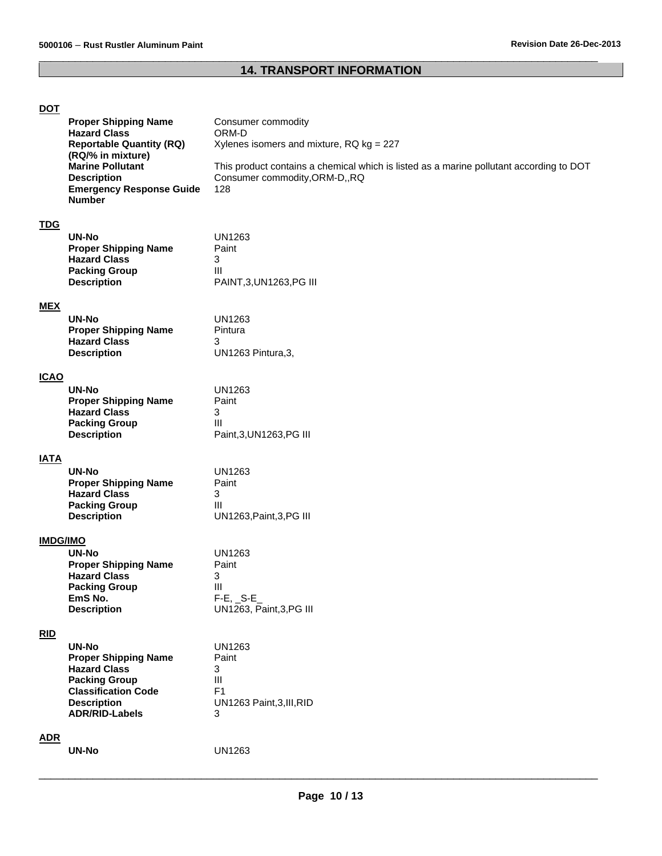## **14. TRANSPORT INFORMATION**

 $\overline{\phantom{a}}$  , and the set of the set of the set of the set of the set of the set of the set of the set of the set of the set of the set of the set of the set of the set of the set of the set of the set of the set of the s

| <u> DO L</u>    | <b>Proper Shipping Name</b><br><b>Hazard Class</b><br><b>Reportable Quantity (RQ)</b><br>(RQ/% in mixture)<br><b>Marine Pollutant</b><br><b>Description</b><br><b>Emergency Response Guide</b><br><b>Number</b> | Consumer commodity<br>ORM-D<br>Xylenes isomers and mixture, RQ kg = 227<br>This product contains a chemical which is listed as a marine pollutant according to DOT<br>Consumer commodity, ORM-D,, RQ<br>128 |
|-----------------|-----------------------------------------------------------------------------------------------------------------------------------------------------------------------------------------------------------------|-------------------------------------------------------------------------------------------------------------------------------------------------------------------------------------------------------------|
| <b>TDG</b>      | <b>UN-No</b><br><b>Proper Shipping Name</b><br><b>Hazard Class</b><br><b>Packing Group</b><br><b>Description</b>                                                                                                | <b>UN1263</b><br>Paint<br>3<br>III<br>PAINT, 3, UN1263, PG III                                                                                                                                              |
| <b>MEX</b>      | <b>UN-No</b><br><b>Proper Shipping Name</b><br><b>Hazard Class</b><br><b>Description</b>                                                                                                                        | <b>UN1263</b><br>Pintura<br>3<br>UN1263 Pintura, 3,                                                                                                                                                         |
| <b>ICAO</b>     | <b>UN-No</b><br><b>Proper Shipping Name</b><br><b>Hazard Class</b><br><b>Packing Group</b><br><b>Description</b>                                                                                                | <b>UN1263</b><br>Paint<br>3<br>Ш<br>Paint, 3, UN1263, PG III                                                                                                                                                |
| <b>IATA</b>     | <b>UN-No</b><br><b>Proper Shipping Name</b><br><b>Hazard Class</b><br><b>Packing Group</b><br><b>Description</b>                                                                                                | <b>UN1263</b><br>Paint<br>3<br>Ш<br>UN1263, Paint, 3, PG III                                                                                                                                                |
| <b>IMDG/IMO</b> | <b>UN-No</b><br><b>Proper Shipping Name</b><br><b>Hazard Class</b><br><b>Packing Group</b><br>EmS No.<br><b>Description</b>                                                                                     | <b>UN1263</b><br>Paint<br>3<br>III<br>$F-E$ , $S-E$<br>UN1263, Paint, 3, PG III                                                                                                                             |
| RID             | <b>UN-No</b><br><b>Proper Shipping Name</b><br><b>Hazard Class</b><br><b>Packing Group</b><br><b>Classification Code</b><br><b>Description</b><br><b>ADR/RID-Labels</b>                                         | <b>UN1263</b><br>Paint<br>3<br>$\mathop{\rm III}$<br>F <sub>1</sub><br>UN1263 Paint, 3, III, RID<br>3                                                                                                       |
| <b>ADR</b>      | <b>UN-No</b>                                                                                                                                                                                                    | UN1263                                                                                                                                                                                                      |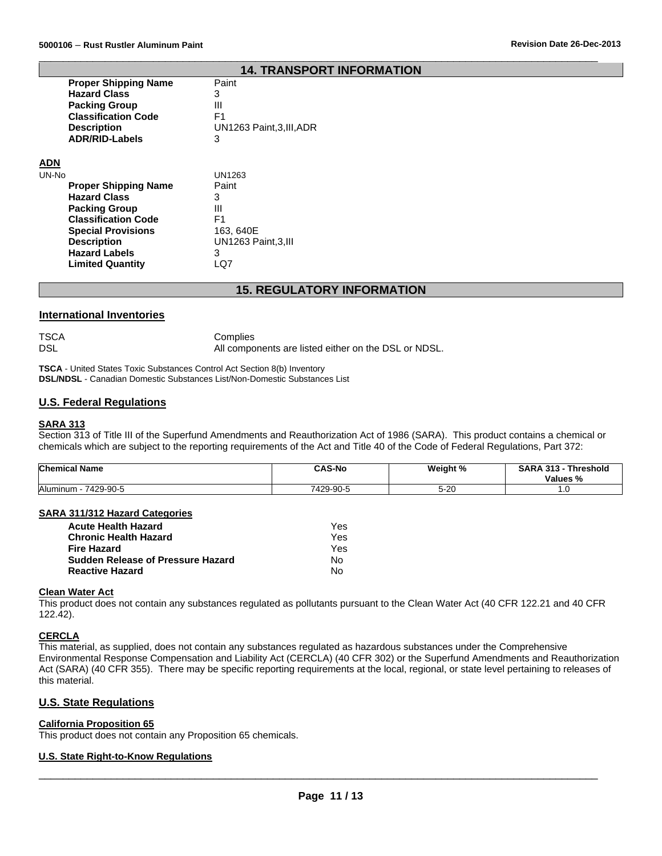#### **14. TRANSPORT INFORMATION**

 $\overline{\phantom{a}}$  , and the set of the set of the set of the set of the set of the set of the set of the set of the set of the set of the set of the set of the set of the set of the set of the set of the set of the set of the s

| <b>Proper Shipping Name</b> | Paint                     |
|-----------------------------|---------------------------|
| <b>Hazard Class</b>         | 3                         |
| <b>Packing Group</b>        | Ш                         |
| <b>Classification Code</b>  | F1                        |
| <b>Description</b>          | UN1263 Paint, 3, III, ADR |
| <b>ADR/RID-Labels</b>       | 3                         |
|                             |                           |

### **ADN**

| <b>Proper Shipping Name</b><br>Paint<br><b>Hazard Class</b><br>3 |  |
|------------------------------------------------------------------|--|
|                                                                  |  |
|                                                                  |  |
| <b>Packing Group</b><br>Ш                                        |  |
| <b>Classification Code</b><br>F1                                 |  |
| <b>Special Provisions</b><br>163, 640E                           |  |
| UN1263 Paint, 3, III<br><b>Description</b>                       |  |
| <b>Hazard Labels</b><br>з                                        |  |
| <b>Limited Quantity</b>                                          |  |

#### **15. REGULATORY INFORMATION**

#### **International Inventories**

| TSCA | Complies                                             |
|------|------------------------------------------------------|
| DSL  | All components are listed either on the DSL or NDSL. |

**TSCA** - United States Toxic Substances Control Act Section 8(b) Inventory **DSL/NDSL** - Canadian Domestic Substances List/Non-Domestic Substances List

#### **U.S. Federal Regulations**

#### **SARA 313**

Section 313 of Title III of the Superfund Amendments and Reauthorization Act of 1986 (SARA). This product contains a chemical or chemicals which are subject to the reporting requirements of the Act and Title 40 of the Code of Federal Regulations, Part 372:

| <b>Chemical Name</b>    | <b>CAS-No</b> | Weight % | <b>1. 949</b><br><b>SARA</b><br><b>Threshold</b><br>-313<br>Values % |
|-------------------------|---------------|----------|----------------------------------------------------------------------|
| Aluminum -<br>7429-90-5 | 7429-90-5     | $5 - 20$ | ı.u                                                                  |

#### **SARA 311/312 Hazard Categories**

| <b>Acute Health Hazard</b>               | Yes |
|------------------------------------------|-----|
| <b>Chronic Health Hazard</b>             | Yes |
| <b>Fire Hazard</b>                       | Yes |
| <b>Sudden Release of Pressure Hazard</b> | N٥  |
| <b>Reactive Hazard</b>                   | Nο  |

#### **Clean Water Act**

This product does not contain any substances regulated as pollutants pursuant to the Clean Water Act (40 CFR 122.21 and 40 CFR 122.42).

#### **CERCLA**

This material, as supplied, does not contain any substances regulated as hazardous substances under the Comprehensive Environmental Response Compensation and Liability Act (CERCLA) (40 CFR 302) or the Superfund Amendments and Reauthorization Act (SARA) (40 CFR 355). There may be specific reporting requirements at the local, regional, or state level pertaining to releases of this material.

#### **U.S. State Regulations**

#### **California Proposition 65**

This product does not contain any Proposition 65 chemicals.

#### **U.S. State Right-to-Know Regulations**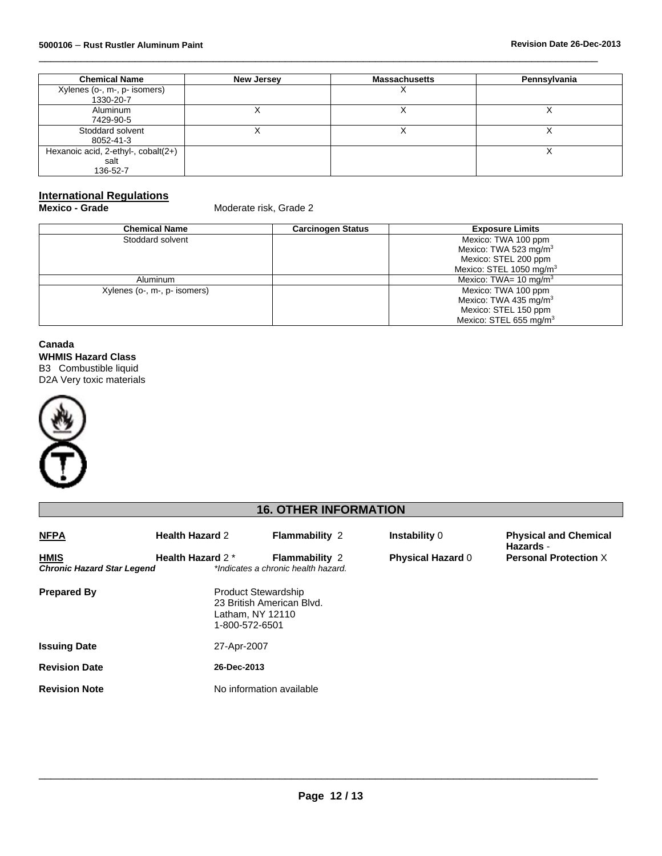| <b>Chemical Name</b>                | <b>New Jersey</b> | <b>Massachusetts</b> | Pennsylvania |
|-------------------------------------|-------------------|----------------------|--------------|
| Xylenes (o-, m-, p- isomers)        |                   |                      |              |
| 1330-20-7                           |                   |                      |              |
| Aluminum                            |                   |                      |              |
| 7429-90-5                           |                   |                      |              |
| Stoddard solvent                    |                   |                      |              |
| 8052-41-3                           |                   |                      |              |
| Hexanoic acid, 2-ethyl-, cobalt(2+) |                   |                      |              |
| salt                                |                   |                      |              |
| 136-52-7                            |                   |                      |              |

 $\overline{\phantom{a}}$  , and the set of the set of the set of the set of the set of the set of the set of the set of the set of the set of the set of the set of the set of the set of the set of the set of the set of the set of the s

# **International Regulations<br>Mexico - Grade**

**Moderate risk, Grade 2** 

| <b>Chemical Name</b>         | <b>Carcinogen Status</b> | <b>Exposure Limits</b>              |  |
|------------------------------|--------------------------|-------------------------------------|--|
| Stoddard solvent             |                          | Mexico: TWA 100 ppm                 |  |
|                              |                          | Mexico: TWA 523 mg/m <sup>3</sup>   |  |
|                              |                          | Mexico: STEL 200 ppm                |  |
|                              |                          | Mexico: STEL 1050 mg/m <sup>3</sup> |  |
| Aluminum                     |                          | Mexico: TWA= $10 \text{ mg/m}^3$    |  |
| Xylenes (o-, m-, p- isomers) |                          | Mexico: TWA 100 ppm                 |  |
|                              |                          | Mexico: TWA 435 mg/m <sup>3</sup>   |  |
|                              |                          | Mexico: STEL 150 ppm                |  |
|                              |                          | Mexico: STEL 655 mg/m <sup>3</sup>  |  |

#### **Canada WHMIS Hazard Class**

B3 Combustible liquid D2A Very toxic materials



### **16. OTHER INFORMATION**

| <b>NFPA</b>                                      | <b>Health Hazard 2</b>             | <b>Flammability 2</b>                                        | <b>Instability 0</b>     | <b>Physical and Chemical</b><br>Hazards - |
|--------------------------------------------------|------------------------------------|--------------------------------------------------------------|--------------------------|-------------------------------------------|
| <b>HMIS</b><br><b>Chronic Hazard Star Legend</b> | <b>Health Hazard 2*</b>            | <b>Flammability 2</b><br>*Indicates a chronic health hazard. | <b>Physical Hazard 0</b> | <b>Personal Protection X</b>              |
| <b>Prepared By</b>                               | Latham, NY 12110<br>1-800-572-6501 | <b>Product Stewardship</b><br>23 British American Blvd.      |                          |                                           |
| <b>Issuing Date</b>                              | 27-Apr-2007                        |                                                              |                          |                                           |
| <b>Revision Date</b>                             | 26-Dec-2013                        |                                                              |                          |                                           |
| <b>Revision Note</b>                             |                                    | No information available                                     |                          |                                           |